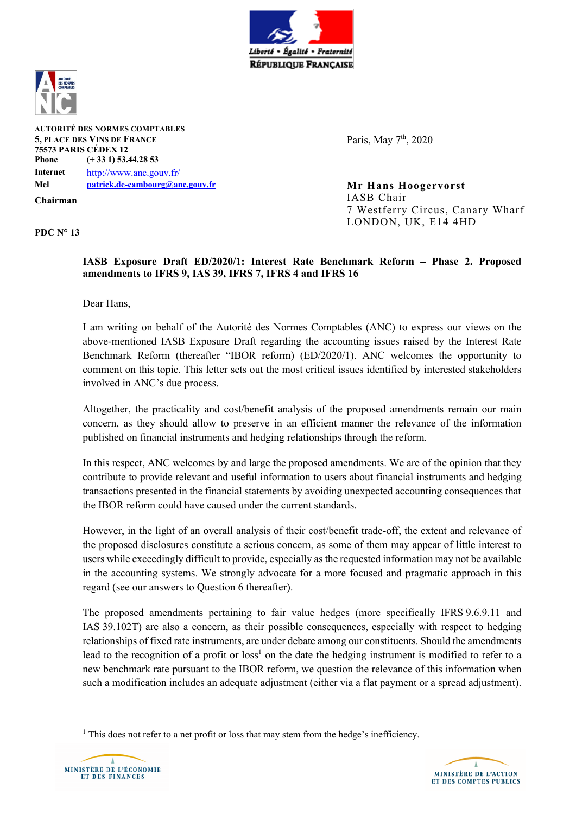



**AUTORITÉ DES NORMES COMPTABLES 5, PLACE DES VINS DE FRANCE 75573 PARIS CÉDEX 12 Phone (+ 33 1) 53.44.28 53 Internet** http://www.anc.gouv.fr/ **Mel patrick.de-cambourg@anc.gouv.fr Mr Hans Hoogervorst**

**Chairman**

**PDC N° 13**

Paris, May 7<sup>th</sup>, 2020

IASB Chair 7 Westferry Circus, Canary Wharf LONDON, UK, E14 4HD

**IASB Exposure Draft ED/2020/1: Interest Rate Benchmark Reform – Phase 2. Proposed amendments to IFRS 9, IAS 39, IFRS 7, IFRS 4 and IFRS 16**

Dear Hans,

I am writing on behalf of the Autorité des Normes Comptables (ANC) to express our views on the above-mentioned IASB Exposure Draft regarding the accounting issues raised by the Interest Rate Benchmark Reform (thereafter "IBOR reform) (ED/2020/1). ANC welcomes the opportunity to comment on this topic. This letter sets out the most critical issues identified by interested stakeholders involved in ANC's due process.

Altogether, the practicality and cost/benefit analysis of the proposed amendments remain our main concern, as they should allow to preserve in an efficient manner the relevance of the information published on financial instruments and hedging relationships through the reform.

In this respect, ANC welcomes by and large the proposed amendments. We are of the opinion that they contribute to provide relevant and useful information to users about financial instruments and hedging transactions presented in the financial statements by avoiding unexpected accounting consequences that the IBOR reform could have caused under the current standards.

However, in the light of an overall analysis of their cost/benefit trade-off, the extent and relevance of the proposed disclosures constitute a serious concern, as some of them may appear of little interest to users while exceedingly difficult to provide, especially as the requested information may not be available in the accounting systems. We strongly advocate for a more focused and pragmatic approach in this regard (see our answers to Question 6 thereafter).

The proposed amendments pertaining to fair value hedges (more specifically IFRS 9.6.9.11 and IAS 39.102T) are also a concern, as their possible consequences, especially with respect to hedging relationships of fixed rate instruments, are under debate among our constituents. Should the amendments lead to the recognition of a profit or  $loss<sup>1</sup>$  on the date the hedging instrument is modified to refer to a new benchmark rate pursuant to the IBOR reform, we question the relevance of this information when such a modification includes an adequate adjustment (either via a flat payment or a spread adjustment).

<sup>&</sup>lt;sup>1</sup> This does not refer to a net profit or loss that may stem from the hedge's inefficiency.



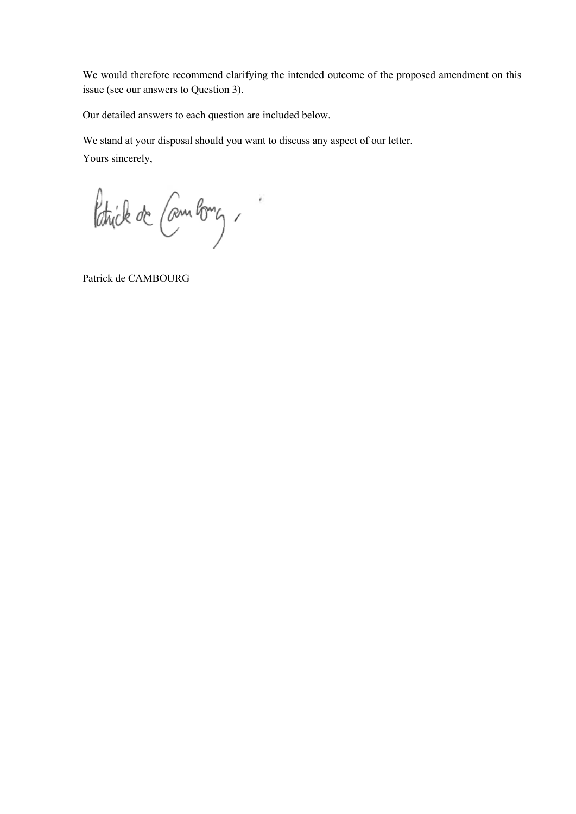We would therefore recommend clarifying the intended outcome of the proposed amendment on this issue (see our answers to Question 3).

Our detailed answers to each question are included below.

We stand at your disposal should you want to discuss any aspect of our letter.

Yours sincerely,

Patrick de Cambong,

Patrick de CAMBOURG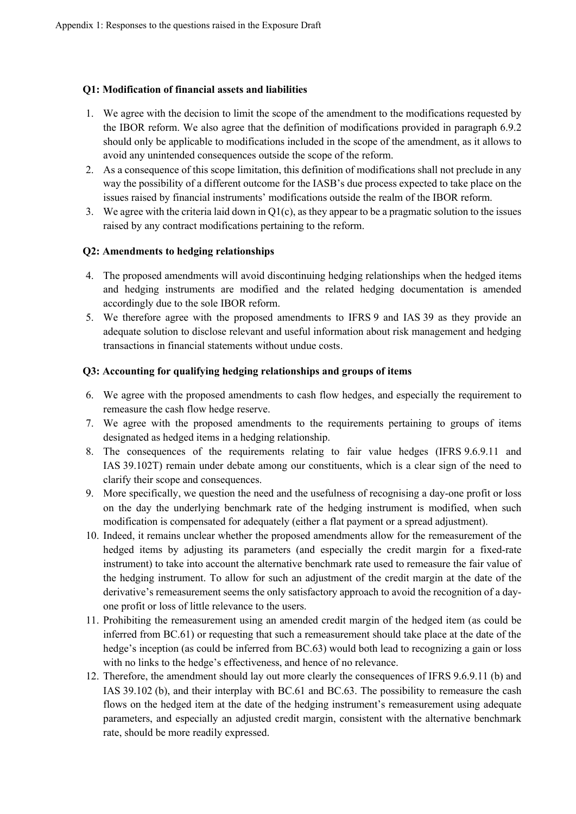## **Q1: Modification of financial assets and liabilities**

- 1. We agree with the decision to limit the scope of the amendment to the modifications requested by the IBOR reform. We also agree that the definition of modifications provided in paragraph 6.9.2 should only be applicable to modifications included in the scope of the amendment, as it allows to avoid any unintended consequences outside the scope of the reform.
- 2. As a consequence of this scope limitation, this definition of modifications shall not preclude in any way the possibility of a different outcome for the IASB's due process expected to take place on the issues raised by financial instruments' modifications outside the realm of the IBOR reform.
- 3. We agree with the criteria laid down in Q1(c), as they appear to be a pragmatic solution to the issues raised by any contract modifications pertaining to the reform.

# **Q2: Amendments to hedging relationships**

- 4. The proposed amendments will avoid discontinuing hedging relationships when the hedged items and hedging instruments are modified and the related hedging documentation is amended accordingly due to the sole IBOR reform.
- 5. We therefore agree with the proposed amendments to IFRS 9 and IAS 39 as they provide an adequate solution to disclose relevant and useful information about risk management and hedging transactions in financial statements without undue costs.

# **Q3: Accounting for qualifying hedging relationships and groups of items**

- 6. We agree with the proposed amendments to cash flow hedges, and especially the requirement to remeasure the cash flow hedge reserve.
- 7. We agree with the proposed amendments to the requirements pertaining to groups of items designated as hedged items in a hedging relationship.
- 8. The consequences of the requirements relating to fair value hedges (IFRS 9.6.9.11 and IAS 39.102T) remain under debate among our constituents, which is a clear sign of the need to clarify their scope and consequences.
- 9. More specifically, we question the need and the usefulness of recognising a day-one profit or loss on the day the underlying benchmark rate of the hedging instrument is modified, when such modification is compensated for adequately (either a flat payment or a spread adjustment).
- 10. Indeed, it remains unclear whether the proposed amendments allow for the remeasurement of the hedged items by adjusting its parameters (and especially the credit margin for a fixed-rate instrument) to take into account the alternative benchmark rate used to remeasure the fair value of the hedging instrument. To allow for such an adjustment of the credit margin at the date of the derivative's remeasurement seems the only satisfactory approach to avoid the recognition of a dayone profit or loss of little relevance to the users.
- 11. Prohibiting the remeasurement using an amended credit margin of the hedged item (as could be inferred from BC.61) or requesting that such a remeasurement should take place at the date of the hedge's inception (as could be inferred from BC.63) would both lead to recognizing a gain or loss with no links to the hedge's effectiveness, and hence of no relevance.
- 12. Therefore, the amendment should lay out more clearly the consequences of IFRS 9.6.9.11 (b) and IAS 39.102 (b), and their interplay with BC.61 and BC.63. The possibility to remeasure the cash flows on the hedged item at the date of the hedging instrument's remeasurement using adequate parameters, and especially an adjusted credit margin, consistent with the alternative benchmark rate, should be more readily expressed.